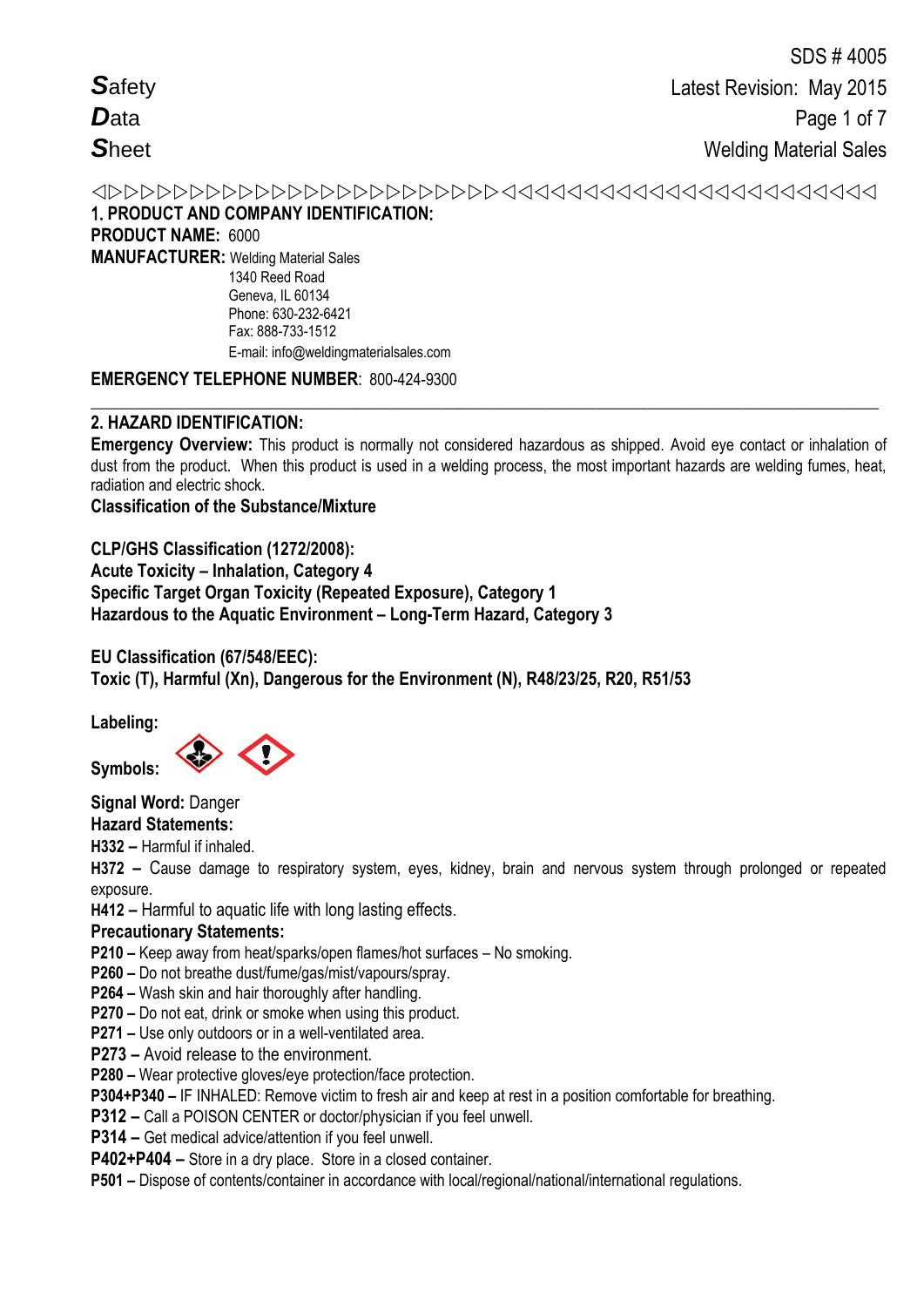1. **PRODUCT AND COMPANY IDENTIFICATION**: **PRODUCT NAME:** 6000 **MANUFACTURER:** Welding Material Sales 1340 Reed Road Geneva, IL 60134 Phone: 630-232-6421

Fax: 888-733-1512 E-mail: info@weldingmaterialsales.com

### **EMERGENCY TELEPHONE NUMBER**: 800-424-9300

### **2. HAZARD IDENTIFICATION:**

**Emergency Overview:** This product is normally not considered hazardous as shipped. Avoid eye contact or inhalation of dust from the product. When this product is used in a welding process, the most important hazards are welding fumes, heat, radiation and electric shock.

**\_\_\_\_\_\_\_\_\_\_\_\_\_\_\_\_\_\_\_\_\_\_\_\_\_\_\_\_\_\_\_\_\_\_\_\_\_\_\_\_\_\_\_\_\_\_\_\_\_\_\_\_\_\_\_\_\_\_\_\_\_\_\_\_\_\_\_\_\_\_\_\_\_\_\_\_\_\_\_\_\_\_\_\_\_\_\_\_\_\_\_\_**

## **Classification of the Substance/Mixture**

**CLP/GHS Classification (1272/2008): Acute Toxicity – Inhalation, Category 4 Specific Target Organ Toxicity (Repeated Exposure), Category 1 Hazardous to the Aquatic Environment – Long-Term Hazard, Category 3** 

## **EU Classification (67/548/EEC): Toxic (T), Harmful (Xn), Dangerous for the Environment (N), R48/23/25, R20, R51/53**

**Labeling:** 

**Symbols:** 

**Signal Word:** Danger

**Hazard Statements:** 

**H332 –** Harmful if inhaled.

**H372 –** Cause damage to respiratory system, eyes, kidney, brain and nervous system through prolonged or repeated exposure.

**H412 –** Harmful to aquatic life with long lasting effects.

## **Precautionary Statements:**

**P210 –** Keep away from heat/sparks/open flames/hot surfaces – No smoking.

**P260 –** Do not breathe dust/fume/gas/mist/vapours/spray.

**P264 –** Wash skin and hair thoroughly after handling.

**P270 –** Do not eat, drink or smoke when using this product.

**P271 –** Use only outdoors or in a well-ventilated area.

**P273 –** Avoid release to the environment.

**P280 –** Wear protective gloves/eye protection/face protection.

**P304+P340 –** IF INHALED: Remove victim to fresh air and keep at rest in a position comfortable for breathing.

**P312 –** Call a POISON CENTER or doctor/physician if you feel unwell.

**P314 –** Get medical advice/attention if you feel unwell.

**P402+P404 –** Store in a dry place. Store in a closed container.

**P501 –** Dispose of contents/container in accordance with local/regional/national/international regulations.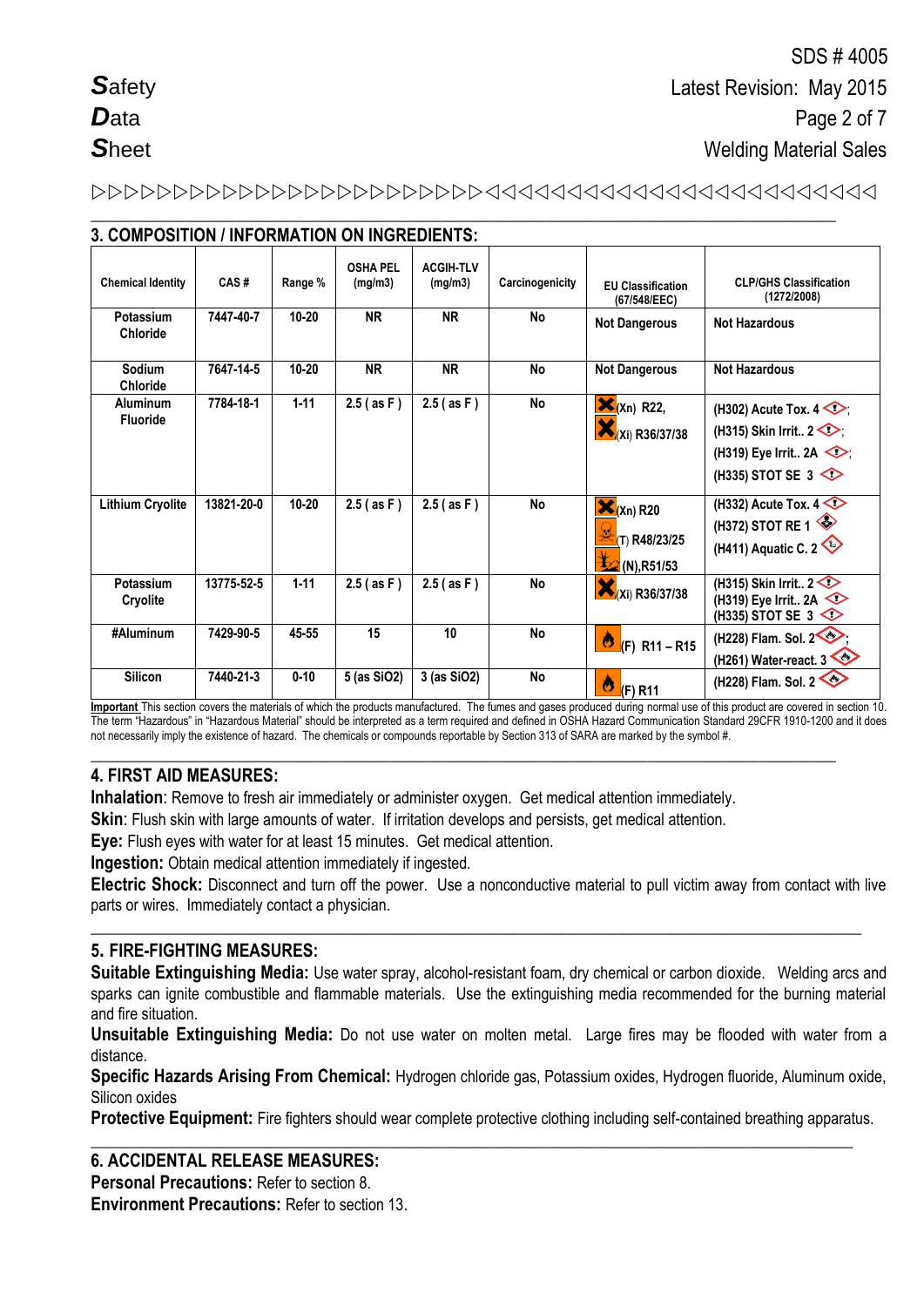# 

**\_\_\_\_\_\_\_\_\_\_\_\_\_\_\_\_\_\_\_\_\_\_\_\_\_\_\_\_\_\_\_\_\_\_\_\_\_\_\_\_\_\_\_\_\_\_\_\_\_\_\_\_\_\_\_\_\_\_\_\_\_\_\_\_\_\_\_\_\_\_\_\_\_\_\_\_\_\_\_\_\_\_\_\_\_\_\_**

| 3. COMPOSITION / INFORMATION ON INGREDIENTS: |            |           |                            |                             |                 |                                                                     |                                                                                                                                          |
|----------------------------------------------|------------|-----------|----------------------------|-----------------------------|-----------------|---------------------------------------------------------------------|------------------------------------------------------------------------------------------------------------------------------------------|
| <b>Chemical Identity</b>                     | CAS#       | Range %   | <b>OSHA PEL</b><br>(mg/m3) | <b>ACGIH-TLV</b><br>(mg/m3) | Carcinogenicity | <b>EU Classification</b><br>(67/548/EEC)                            | <b>CLP/GHS Classification</b><br>(1272/2008)                                                                                             |
| Potassium<br><b>Chloride</b>                 | 7447-40-7  | $10 - 20$ | <b>NR</b>                  | <b>NR</b>                   | No              | <b>Not Dangerous</b>                                                | <b>Not Hazardous</b>                                                                                                                     |
| Sodium<br><b>Chloride</b>                    | 7647-14-5  | $10 - 20$ | <b>NR</b>                  | <b>NR</b>                   | <b>No</b>       | <b>Not Dangerous</b>                                                | <b>Not Hazardous</b>                                                                                                                     |
| <b>Aluminum</b><br><b>Fluoride</b>           | 7784-18-1  | $1 - 11$  | $2.5$ (as F)               | $2.5$ (as F)                | No              | $\mathbf{X}_{(Xn)}$ R22,<br>(Xi) R36/37/38                          | (H302) Acute Tox. $4 \diamondsuit$<br>(H315) Skin Irrit $2 \diamond$ .<br>(H319) Eye Irrit 2A $\textcircled{\frown}$<br>(H335) STOT SE 3 |
| <b>Lithium Cryolite</b>                      | 13821-20-0 | $10 - 20$ | $2.5$ (as F)               | $2.5$ (as F)                | No              | $\mathbf{X}$ (Xn) R20<br>(T) R48/23/25<br>$\frac{1}{2}$ (N), R51/53 | (H332) Acute Tox. $4 \diamondsuit$<br>(H372) STOT RE 1<br>(H411) Aquatic C. 2                                                            |
| Potassium<br>Cryolite                        | 13775-52-5 | $1 - 11$  | $2.5$ (as F)               | $2.5$ (as F)                | <b>No</b>       | ×<br>(Xi) R36/37/38                                                 | (H315) Skin Irrit $2 \leq$<br>(H319) Eye Irrit 2A<br>(H335) STOT SE 3                                                                    |
| #Aluminum                                    | 7429-90-5  | 45-55     | 15                         | 10                          | <b>No</b>       | Ò<br>$(F)$ R <sub>11</sub> – R <sub>15</sub>                        | (H228) Flam. Sol. 2<br>(H261) Water-react. $3 \leq 2$                                                                                    |
| <b>Silicon</b>                               | 7440-21-3  | $0 - 10$  | 5 (as SiO2)                | 3 (as SiO2)                 | No              | Ò<br>(F) R11                                                        | (H228) Flam. Sol. 2                                                                                                                      |

**Important** This section covers the materials of which the products manufactured. The fumes and gases produced during normal use of this product are covered in section 10. The term "Hazardous" in "Hazardous Material" should be interpreted as a term required and defined in OSHA Hazard Communication Standard 29CFR 1910-1200 and it does not necessarily imply the existence of hazard. The chemicals or compounds reportable by Section 313 of SARA are marked by the symbol #.

**\_\_\_\_\_\_\_\_\_\_\_\_\_\_\_\_\_\_\_\_\_\_\_\_\_\_\_\_\_\_\_\_\_\_\_\_\_\_\_\_\_\_\_\_\_\_\_\_\_\_\_\_\_\_\_\_\_\_\_\_\_\_\_\_\_\_\_\_\_\_\_\_\_\_\_\_\_\_\_\_\_\_\_\_\_\_\_**

## **4. FIRST AID MEASURES:**

**Inhalation**: Remove to fresh air immediately or administer oxygen. Get medical attention immediately.

**Skin**: Flush skin with large amounts of water. If irritation develops and persists, get medical attention.

**Eye:** Flush eyes with water for at least 15 minutes. Get medical attention.

**Ingestion:** Obtain medical attention immediately if ingested.

**Electric Shock:** Disconnect and turn off the power. Use a nonconductive material to pull victim away from contact with live parts or wires. Immediately contact a physician.

**\_\_\_\_\_\_\_\_\_\_\_\_\_\_\_\_\_\_\_\_\_\_\_\_\_\_\_\_\_\_\_\_\_\_\_\_\_\_\_\_\_\_\_\_\_\_\_\_\_\_\_\_\_\_\_\_\_\_\_\_\_\_\_\_\_\_\_\_\_\_\_\_\_\_\_\_\_\_\_\_\_\_\_\_\_\_\_\_\_\_**

## **5. FIRE-FIGHTING MEASURES:**

**Suitable Extinguishing Media:** Use water spray, alcohol-resistant foam, dry chemical or carbon dioxide. Welding arcs and sparks can ignite combustible and flammable materials. Use the extinguishing media recommended for the burning material and fire situation.

**Unsuitable Extinguishing Media:** Do not use water on molten metal. Large fires may be flooded with water from a distance.

**Specific Hazards Arising From Chemical:** Hydrogen chloride gas, Potassium oxides, Hydrogen fluoride, Aluminum oxide, Silicon oxides

**Protective Equipment:** Fire fighters should wear complete protective clothing including self-contained breathing apparatus.

**\_\_\_\_\_\_\_\_\_\_\_\_\_\_\_\_\_\_\_\_\_\_\_\_\_\_\_\_\_\_\_\_\_\_\_\_\_\_\_\_\_\_\_\_\_\_\_\_\_\_\_\_\_\_\_\_\_\_\_\_\_\_\_\_\_\_\_\_\_\_\_\_\_\_\_\_\_\_\_\_\_\_\_\_\_\_\_\_\_**

#### **6. ACCIDENTAL RELEASE MEASURES:**

**Personal Precautions:** Refer to section 8.

**Environment Precautions:** Refer to section 13.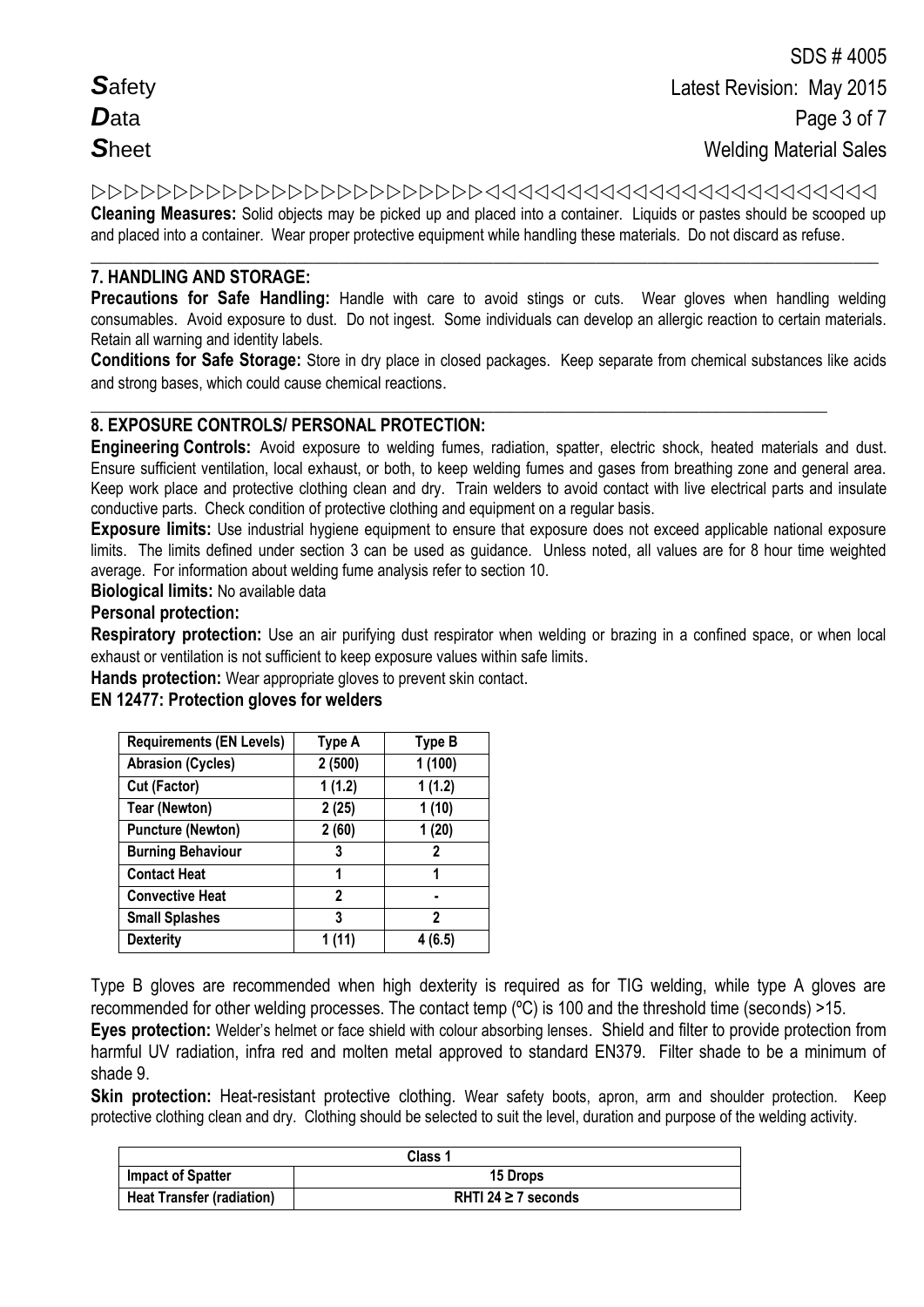**Cleaning Measures:** Solid objects may be picked up and placed into a container. Liquids or pastes should be scooped up and placed into a container. Wear proper protective equipment while handling these materials. Do not discard as refuse.

#### **\_\_\_\_\_\_\_\_\_\_\_\_\_\_\_\_\_\_\_\_\_\_\_\_\_\_\_\_\_\_\_\_\_\_\_\_\_\_\_\_\_\_\_\_\_\_\_\_\_\_\_\_\_\_\_\_\_\_\_\_\_\_\_\_\_\_\_\_\_\_\_\_\_\_\_\_\_\_\_\_\_\_\_\_\_\_\_\_\_\_\_\_ 7. HANDLING AND STORAGE:**

**Precautions for Safe Handling:** Handle with care to avoid stings or cuts. Wear gloves when handling welding consumables. Avoid exposure to dust. Do not ingest. Some individuals can develop an allergic reaction to certain materials. Retain all warning and identity labels.

**Conditions for Safe Storage:** Store in dry place in closed packages. Keep separate from chemical substances like acids and strong bases, which could cause chemical reactions.

#### **\_\_\_\_\_\_\_\_\_\_\_\_\_\_\_\_\_\_\_\_\_\_\_\_\_\_\_\_\_\_\_\_\_\_\_\_\_\_\_\_\_\_\_\_\_\_\_\_\_\_\_\_\_\_\_\_\_\_\_\_\_\_\_\_\_\_\_\_\_\_\_\_\_\_\_\_\_\_\_\_\_\_\_\_\_\_ 8. EXPOSURE CONTROLS/ PERSONAL PROTECTION:**

**Engineering Controls:** Avoid exposure to welding fumes, radiation, spatter, electric shock, heated materials and dust. Ensure sufficient ventilation, local exhaust, or both, to keep welding fumes and gases from breathing zone and general area. Keep work place and protective clothing clean and dry. Train welders to avoid contact with live electrical parts and insulate conductive parts. Check condition of protective clothing and equipment on a regular basis.

**Exposure limits:** Use industrial hygiene equipment to ensure that exposure does not exceed applicable national exposure limits. The limits defined under section 3 can be used as guidance. Unless noted, all values are for 8 hour time weighted average. For information about welding fume analysis refer to section 10.

**Biological limits:** No available data

#### **Personal protection:**

**Respiratory protection:** Use an air purifying dust respirator when welding or brazing in a confined space, or when local exhaust or ventilation is not sufficient to keep exposure values within safe limits.

**Hands protection:** Wear appropriate gloves to prevent skin contact.

#### **EN 12477: Protection gloves for welders**

| <b>Requirements (EN Levels)</b> | Type A | <b>Type B</b> |
|---------------------------------|--------|---------------|
| <b>Abrasion (Cycles)</b>        | 2(500) | 1(100)        |
| Cut (Factor)                    | 1(1.2) | 1(1.2)        |
| <b>Tear (Newton)</b>            | 2(25)  | 1(10)         |
| <b>Puncture (Newton)</b>        | 2(60)  | 1(20)         |
| <b>Burning Behaviour</b>        | 3      | $\mathbf 2$   |
| <b>Contact Heat</b>             | 1      | 1             |
| <b>Convective Heat</b>          | 2      | ٠             |
| <b>Small Splashes</b>           | 3      | 2             |
| <b>Dexterity</b>                | 1 (11) | 4 (6.5)       |

Type B gloves are recommended when high dexterity is required as for TIG welding, while type A gloves are recommended for other welding processes. The contact temp (ºC) is 100 and the threshold time (seconds) >15.

**Eyes protection:** Welder's helmet or face shield with colour absorbing lenses. Shield and filter to provide protection from harmful UV radiation, infra red and molten metal approved to standard EN379. Filter shade to be a minimum of shade 9.

**Skin protection:** Heat-resistant protective clothing. Wear safety boots, apron, arm and shoulder protection. Keep protective clothing clean and dry. Clothing should be selected to suit the level, duration and purpose of the welding activity.

|                                  | Class 1                  |
|----------------------------------|--------------------------|
| <b>Impact of Spatter</b>         | <b>15 Drops</b>          |
| <b>Heat Transfer (radiation)</b> | RHTI 24 $\geq$ 7 seconds |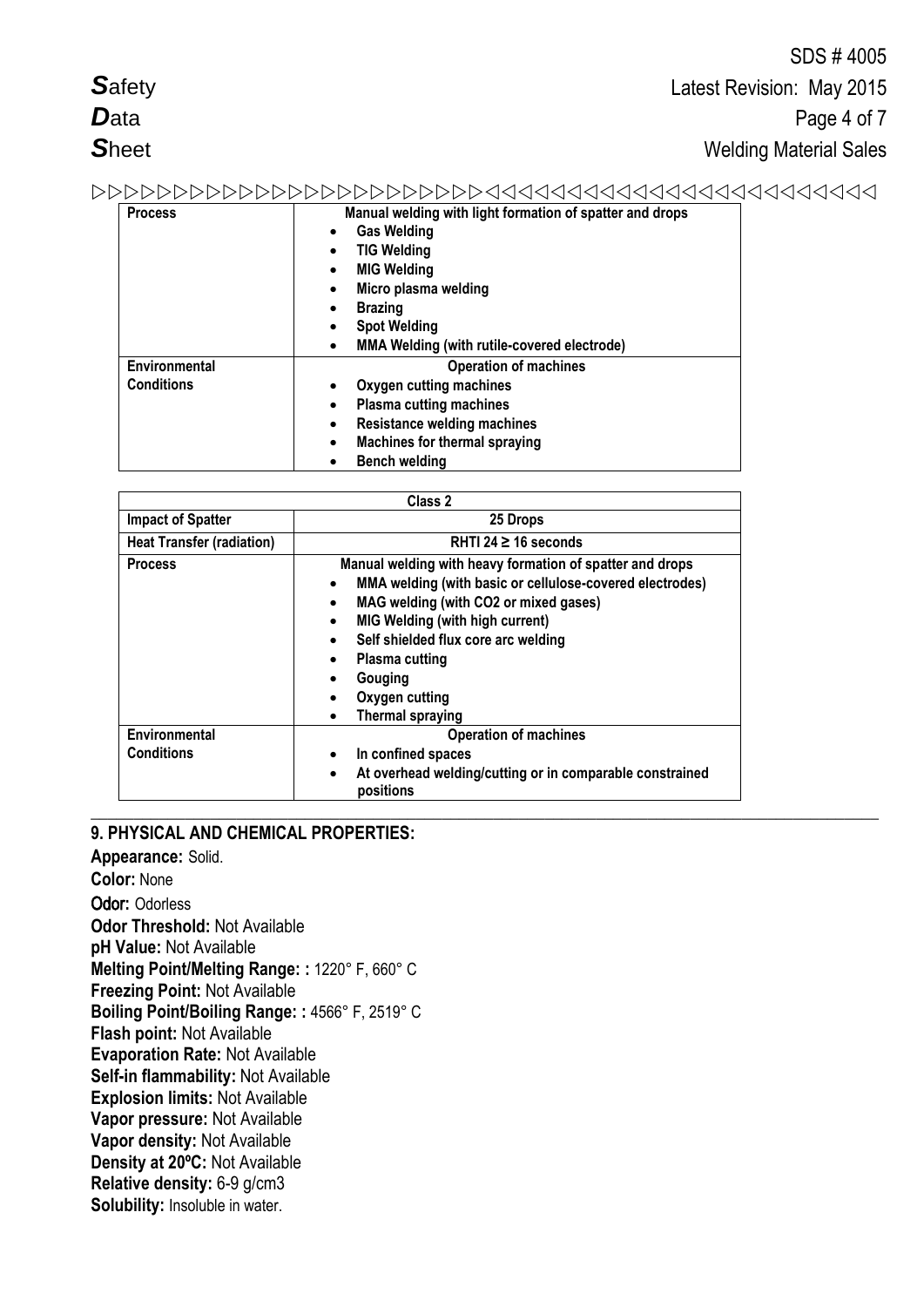|                |                                                                                                                                                                                                                                                              | SDS #4005                     |
|----------------|--------------------------------------------------------------------------------------------------------------------------------------------------------------------------------------------------------------------------------------------------------------|-------------------------------|
| <b>Safety</b>  |                                                                                                                                                                                                                                                              | Latest Revision: May 2015     |
| <b>D</b> ata   |                                                                                                                                                                                                                                                              | Page 4 of 7                   |
| <b>Sheet</b>   |                                                                                                                                                                                                                                                              | <b>Welding Material Sales</b> |
|                |                                                                                                                                                                                                                                                              |                               |
| <b>Process</b> | Manual welding with light formation of spatter and drops<br><b>Gas Welding</b><br>$\bullet$<br><b>TIG Welding</b><br>٠<br><b>MIG Welding</b><br>Micro plasma welding<br><b>Brazing</b><br><b>Spot Welding</b><br>MMA Welding (with rutile-covered electrode) |                               |
| Environmental  | <b>Operation of machines</b>                                                                                                                                                                                                                                 |                               |

|                                                                            | Class 2                                                                                           |
|----------------------------------------------------------------------------|---------------------------------------------------------------------------------------------------|
| <b>Impact of Spatter</b>                                                   | 25 Drops                                                                                          |
| <b>Heat Transfer (radiation)</b>                                           | RHTI 24 $\geq$ 16 seconds                                                                         |
| Manual welding with heavy formation of spatter and drops<br><b>Process</b> |                                                                                                   |
|                                                                            | MMA welding (with basic or cellulose-covered electrodes)<br>MAG welding (with CO2 or mixed gases) |
|                                                                            | <b>MIG Welding (with high current)</b>                                                            |
|                                                                            | Self shielded flux core arc welding                                                               |
|                                                                            | <b>Plasma cutting</b>                                                                             |
|                                                                            | Gouging                                                                                           |
|                                                                            | Oxygen cutting                                                                                    |
|                                                                            | <b>Thermal spraying</b>                                                                           |
| Environmental                                                              | <b>Operation of machines</b>                                                                      |
| <b>Conditions</b>                                                          | In confined spaces<br>٠                                                                           |
|                                                                            | At overhead welding/cutting or in comparable constrained<br>٠<br>positions                        |

**\_\_\_\_\_\_\_\_\_\_\_\_\_\_\_\_\_\_\_\_\_\_\_\_\_\_\_\_\_\_\_\_\_\_\_\_\_\_\_\_\_\_\_\_\_\_\_\_\_\_\_\_\_\_\_\_\_\_\_\_\_\_\_\_\_\_\_\_\_\_\_\_\_\_\_\_\_\_\_\_\_\_\_\_\_\_\_\_\_\_\_\_**

 **Oxygen cutting machines Plasma cutting machines Resistance welding machines Machines for thermal spraying**

**Bench welding**

#### **9. PHYSICAL AND CHEMICAL PROPERTIES:**

**Conditions**

**Appearance:** Solid. **Color:** None Odor**:** Odorless **Odor Threshold:** Not Available **pH Value:** Not Available **Melting Point/Melting Range: :** 1220° F, 660° C **Freezing Point:** Not Available **Boiling Point/Boiling Range: :** 4566° F, 2519° C **Flash point:** Not Available **Evaporation Rate:** Not Available **Self-in flammability:** Not Available **Explosion limits:** Not Available **Vapor pressure:** Not Available **Vapor density:** Not Available **Density at 20ºC:** Not Available **Relative density:** 6-9 g/cm3 **Solubility:** Insoluble in water.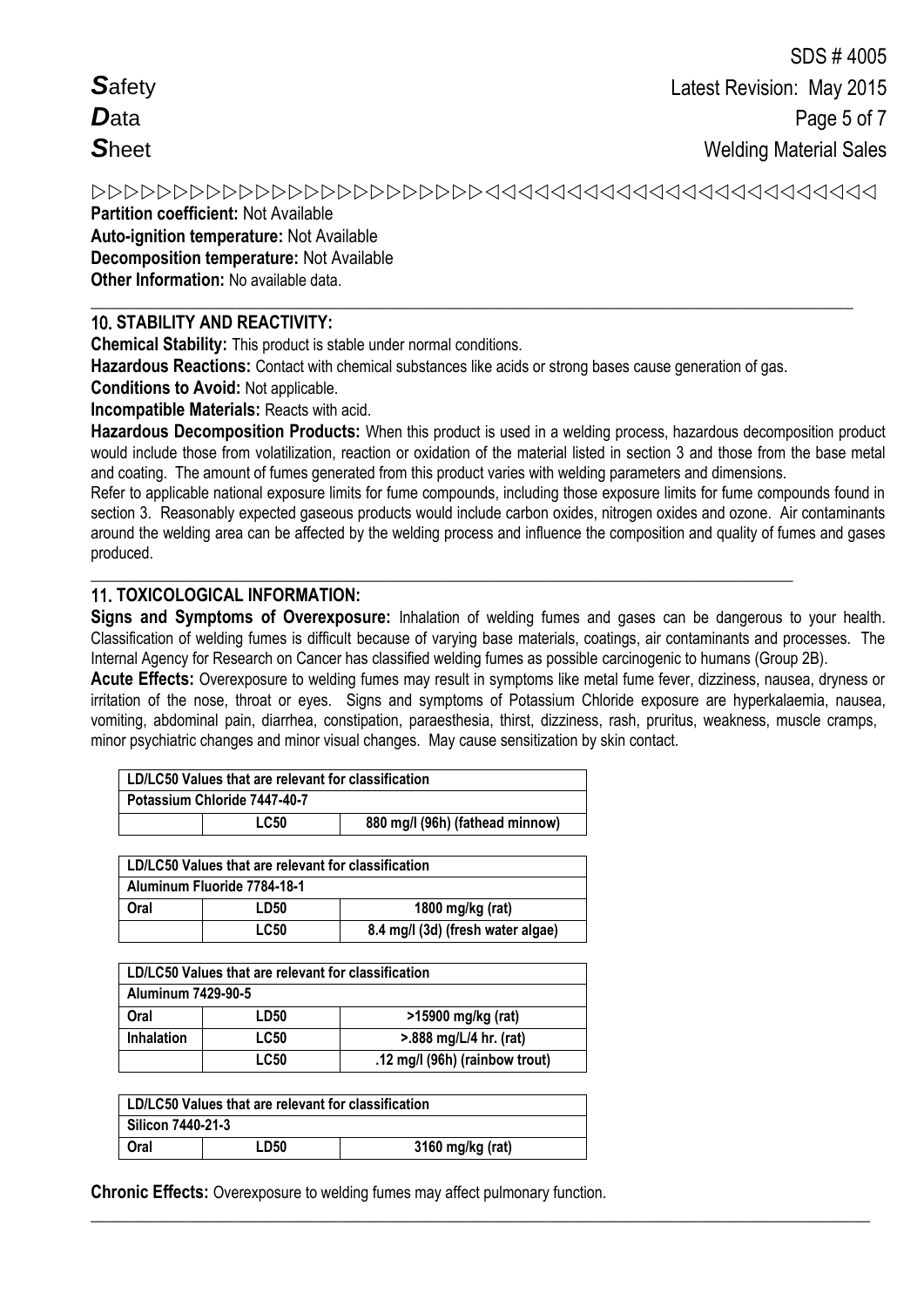# 

**Partition coefficient:** Not Available **Auto-ignition temperature:** Not Available **Decomposition temperature:** Not Available **Other Information:** No available data.

#### **\_\_\_\_\_\_\_\_\_\_\_\_\_\_\_\_\_\_\_\_\_\_\_\_\_\_\_\_\_\_\_\_\_\_\_\_\_\_\_\_\_\_\_\_\_\_\_\_\_\_\_\_\_\_\_\_\_\_\_\_\_\_\_\_\_\_\_\_\_\_\_\_\_\_\_\_\_\_\_\_\_\_\_\_\_\_\_\_\_** 10. **STABILITY AND REACTIVITY:**

**Chemical Stability:** This product is stable under normal conditions.

**Hazardous Reactions:** Contact with chemical substances like acids or strong bases cause generation of gas.

**\_\_\_\_\_\_\_\_\_\_\_\_\_\_\_\_\_\_\_\_\_\_\_\_\_\_\_\_\_\_\_\_\_\_\_\_\_\_\_\_\_\_\_\_\_\_\_\_\_\_\_\_\_\_\_\_\_\_\_\_\_\_\_\_\_\_\_\_\_\_\_\_\_\_\_\_\_\_\_\_\_\_**

**Conditions to Avoid:** Not applicable.

**Incompatible Materials:** Reacts with acid.

**Hazardous Decomposition Products:** When this product is used in a welding process, hazardous decomposition product would include those from volatilization, reaction or oxidation of the material listed in section 3 and those from the base metal and coating. The amount of fumes generated from this product varies with welding parameters and dimensions.

Refer to applicable national exposure limits for fume compounds, including those exposure limits for fume compounds found in section 3. Reasonably expected gaseous products would include carbon oxides, nitrogen oxides and ozone. Air contaminants around the welding area can be affected by the welding process and influence the composition and quality of fumes and gases produced.

## 11. **TOXICOLOGICAL INFORMATION:**

**Signs and Symptoms of Overexposure:** Inhalation of welding fumes and gases can be dangerous to your health. Classification of welding fumes is difficult because of varying base materials, coatings, air contaminants and processes. The Internal Agency for Research on Cancer has classified welding fumes as possible carcinogenic to humans (Group 2B).

**Acute Effects:** Overexposure to welding fumes may result in symptoms like metal fume fever, dizziness, nausea, dryness or irritation of the nose, throat or eyes. Signs and symptoms of Potassium Chloride exposure are hyperkalaemia, nausea, vomiting, abdominal pain, diarrhea, constipation, paraesthesia, thirst, dizziness, rash, pruritus, weakness, muscle cramps, minor psychiatric changes and minor visual changes. May cause sensitization by skin contact.

**\_\_\_\_\_\_\_\_\_\_\_\_\_\_\_\_\_\_\_\_\_\_\_\_\_\_\_\_\_\_\_\_\_\_\_\_\_\_\_\_\_\_\_\_\_\_\_\_\_\_\_\_\_\_\_\_\_\_\_\_\_\_\_\_\_\_\_\_\_\_\_\_\_\_\_\_\_\_\_\_\_\_\_\_\_\_\_\_\_\_\_**

| LD/LC50 Values that are relevant for classification |                                 |
|-----------------------------------------------------|---------------------------------|
| Potassium Chloride 7447-40-7                        |                                 |
| <b>LC50</b>                                         | 880 mg/l (96h) (fathead minnow) |

|      | LD/LC50 Values that are relevant for classification |                                   |
|------|-----------------------------------------------------|-----------------------------------|
|      | Aluminum Fluoride 7784-18-1                         |                                   |
| Oral | LD50                                                | 1800 mg/kg (rat)                  |
|      | <b>LC50</b>                                         | 8.4 mg/l (3d) (fresh water algae) |

|                    | LD/LC50 Values that are relevant for classification |                                          |
|--------------------|-----------------------------------------------------|------------------------------------------|
| Aluminum 7429-90-5 |                                                     |                                          |
| Oral               | LD50                                                | >15900 mg/kg (rat)                       |
| <b>Inhalation</b>  | <b>LC50</b>                                         | $> 888 \text{ mg/L}/4 \text{ hr.}$ (rat) |
|                    | <b>LC50</b>                                         | .12 mg/l (96h) (rainbow trout)           |

|                   | LD/LC50 Values that are relevant for classification |                  |
|-------------------|-----------------------------------------------------|------------------|
| Silicon 7440-21-3 |                                                     |                  |
| Oral              | <b>LD50</b>                                         | 3160 mg/kg (rat) |

**Chronic Effects:** Overexposure to welding fumes may affect pulmonary function.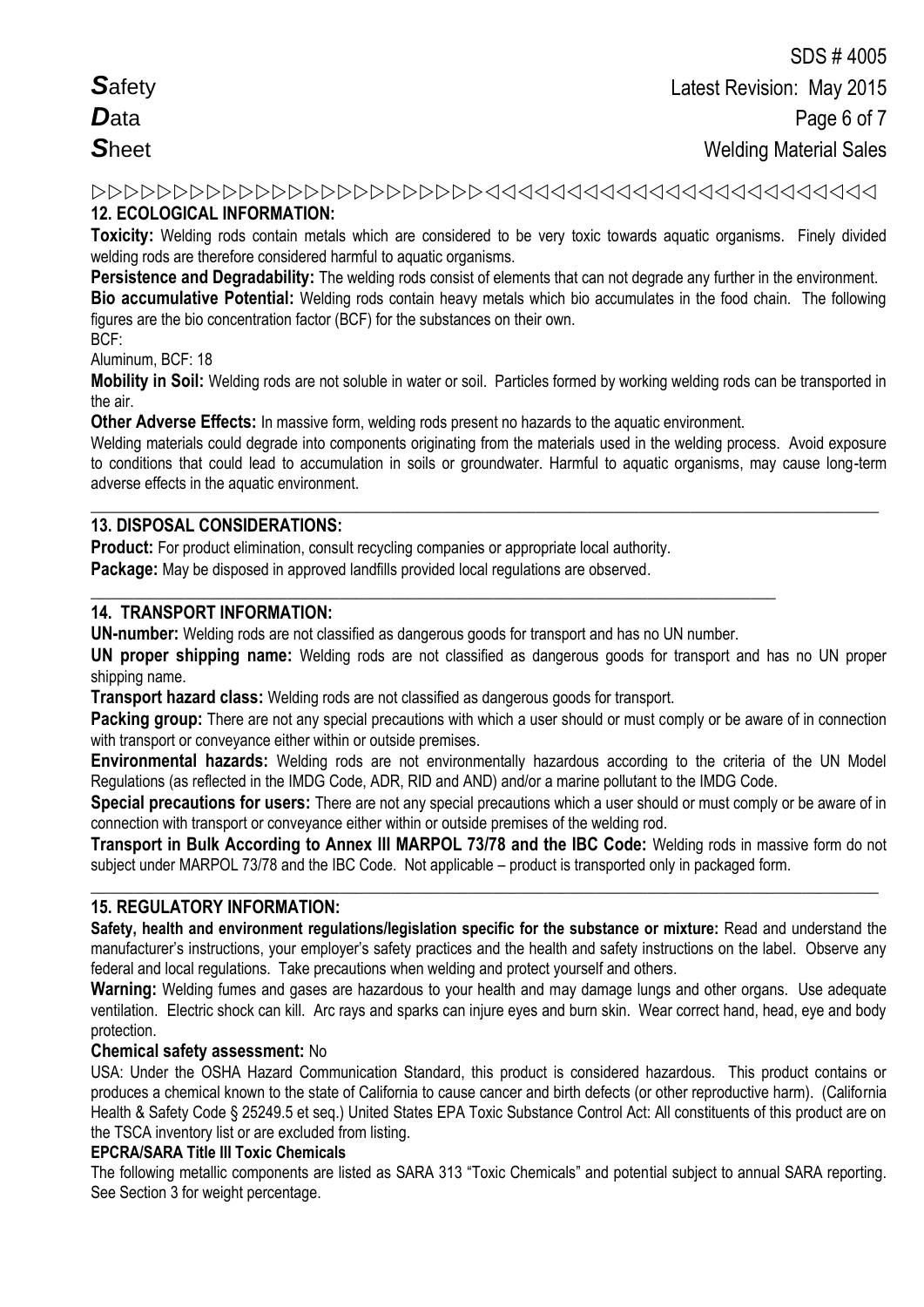## **12. ECOLOGICAL INFORMATION:**

**Toxicity:** Welding rods contain metals which are considered to be very toxic towards aquatic organisms. Finely divided welding rods are therefore considered harmful to aquatic organisms.

**Persistence and Degradability:** The welding rods consist of elements that can not degrade any further in the environment.

**Bio accumulative Potential:** Welding rods contain heavy metals which bio accumulates in the food chain. The following figures are the bio concentration factor (BCF) for the substances on their own.

BCF:

Aluminum, BCF: 18

**Mobility in Soil:** Welding rods are not soluble in water or soil. Particles formed by working welding rods can be transported in the air.

**Other Adverse Effects:** In massive form, welding rods present no hazards to the aquatic environment.

Welding materials could degrade into components originating from the materials used in the welding process. Avoid exposure to conditions that could lead to accumulation in soils or groundwater. Harmful to aquatic organisms, may cause long-term adverse effects in the aquatic environment.

**\_\_\_\_\_\_\_\_\_\_\_\_\_\_\_\_\_\_\_\_\_\_\_\_\_\_\_\_\_\_\_\_\_\_\_\_\_\_\_\_\_\_\_\_\_\_\_\_\_\_\_\_\_\_\_\_\_\_\_\_\_\_\_\_\_\_\_\_\_\_\_\_\_\_\_\_\_\_\_\_\_\_\_\_\_\_\_\_\_\_\_\_**

## **13. DISPOSAL CONSIDERATIONS:**

**Product:** For product elimination, consult recycling companies or appropriate local authority.

**Package:** May be disposed in approved landfills provided local regulations are observed.

#### **14. TRANSPORT INFORMATION:**

**UN-number:** Welding rods are not classified as dangerous goods for transport and has no UN number.

**\_\_\_\_\_\_\_\_\_\_\_\_\_\_\_\_\_\_\_\_\_\_\_\_\_\_\_\_\_\_\_\_\_\_\_\_\_\_\_\_\_\_\_\_\_\_\_\_\_\_\_\_\_\_\_\_\_\_\_\_\_\_\_\_\_\_\_\_\_\_\_\_\_\_\_\_\_\_\_\_**

**UN proper shipping name:** Welding rods are not classified as dangerous goods for transport and has no UN proper shipping name.

**Transport hazard class:** Welding rods are not classified as dangerous goods for transport.

**Packing group:** There are not any special precautions with which a user should or must comply or be aware of in connection with transport or convevance either within or outside premises.

**Environmental hazards:** Welding rods are not environmentally hazardous according to the criteria of the UN Model Regulations (as reflected in the IMDG Code, ADR, RID and AND) and/or a marine pollutant to the IMDG Code.

**Special precautions for users:** There are not any special precautions which a user should or must comply or be aware of in connection with transport or conveyance either within or outside premises of the welding rod.

**Transport in Bulk According to Annex III MARPOL 73/78 and the IBC Code:** Welding rods in massive form do not subject under MARPOL 73/78 and the IBC Code. Not applicable – product is transported only in packaged form.

**\_\_\_\_\_\_\_\_\_\_\_\_\_\_\_\_\_\_\_\_\_\_\_\_\_\_\_\_\_\_\_\_\_\_\_\_\_\_\_\_\_\_\_\_\_\_\_\_\_\_\_\_\_\_\_\_\_\_\_\_\_\_\_\_\_\_\_\_\_\_\_\_\_\_\_\_\_\_\_\_\_\_\_\_\_\_\_\_\_\_\_\_**

#### **15. REGULATORY INFORMATION:**

**Safety, health and environment regulations/legislation specific for the substance or mixture:** Read and understand the manufacturer's instructions, your employer's safety practices and the health and safety instructions on the label. Observe any federal and local regulations. Take precautions when welding and protect yourself and others.

**Warning:** Welding fumes and gases are hazardous to your health and may damage lungs and other organs. Use adequate ventilation.Electric shock can kill. Arc rays and sparks can injure eyes and burn skin. Wear correct hand, head, eye and body protection.

#### **Chemical safety assessment:** No

USA: Under the OSHA Hazard Communication Standard, this product is considered hazardous. This product contains or produces a chemical known to the state of California to cause cancer and birth defects (or other reproductive harm). (California Health & Safety Code § 25249.5 et seq.) United States EPA Toxic Substance Control Act: All constituents of this product are on the TSCA inventory list or are excluded from listing.

#### **EPCRA/SARA Title III Toxic Chemicals**

The following metallic components are listed as SARA 313 "Toxic Chemicals" and potential subject to annual SARA reporting. See Section 3 for weight percentage.